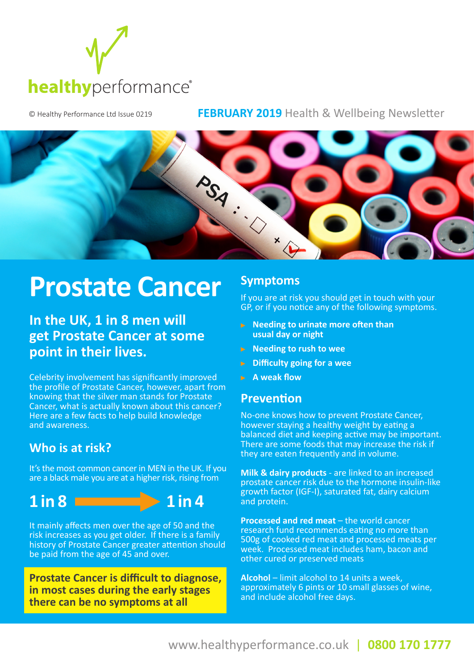

#### © Healthy Performance Ltd Issue 0219 **FEBRUARY 2019** Health & Wellbeing Newsletter



# **Prostate Cancer**<br>In the UK, 1 in 8 men will

**get Prostate Cancer at some point in their lives.** 

Celebrity involvement has significantly improved the profile of Prostate Cancer, however, apart from knowing that the silver man stands for Prostate Cancer, what is actually known about this cancer? Here are a few facts to help build knowledge and awareness.

#### **Who is at risk?**

It's the most common cancer in MEN in the UK. If you are a black male you are at a higher risk, rising from



It mainly affects men over the age of 50 and the risk increases as you get older. If there is a family history of Prostate Cancer greater attention should be paid from the age of 45 and over.

**Prostate Cancer is difficult to diagnose, in most cases during the early stages there can be no symptoms at all**

#### **Symptoms**

If you are at risk you should get in touch with your GP, or if you notice any of the following symptoms.

- **Needing to urinate more often than usual day or night**
- **Needing to rush to wee**
- **Difficulty going for a wee**
- **A weak flow**

#### **Prevention**

No-one knows how to prevent Prostate Cancer, however staying a healthy weight by eating a balanced diet and keeping active may be important. There are some foods that may increase the risk if they are eaten frequently and in volume.

**Milk & dairy products** - are linked to an increased prostate cancer risk due to the hormone insulin-like growth factor (IGF-I), saturated fat, dairy calcium and protein.

**Processed and red meat** – the world cancer research fund recommends eating no more than 500g of cooked red meat and processed meats per week. Processed meat includes ham, bacon and other cured or preserved meats

**Alcohol** – limit alcohol to 14 units a week, approximately 6 pints or 10 small glasses of wine, and include alcohol free days.